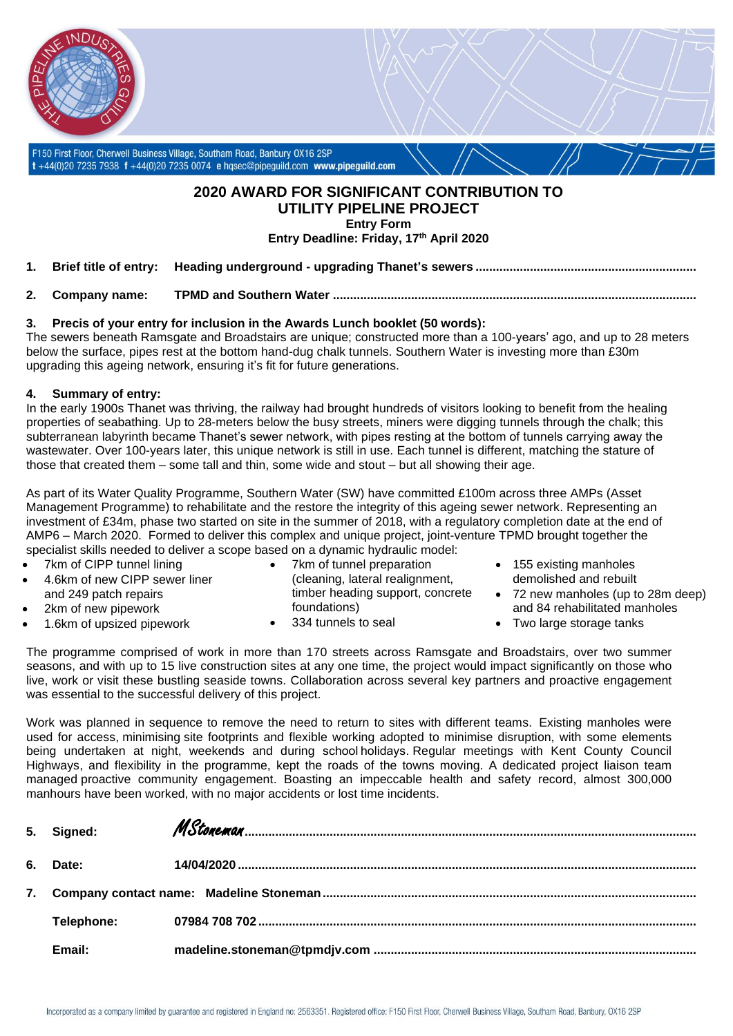

## **2020 AWARD FOR SIGNIFICANT CONTRIBUTION TO UTILITY PIPELINE PROJECT Entry Form**

**Entry Deadline: Friday, 17th April 2020**

- **1. Brief title of entry: Heading underground - upgrading Thanet's sewers .................................................................**
- **2. Company name: TPMD and Southern Water ...........................................................................................................**

## **3. Precis of your entry for inclusion in the Awards Lunch booklet (50 words):**

The sewers beneath Ramsgate and Broadstairs are unique; constructed more than a 100-years' ago, and up to 28 meters below the surface, pipes rest at the bottom hand-dug chalk tunnels. Southern Water is investing more than £30m upgrading this ageing network, ensuring it's fit for future generations.

### **4. Summary of entry:**

In the early 1900s Thanet was thriving, the railway had brought hundreds of visitors looking to benefit from the healing properties of seabathing. Up to 28-meters below the busy streets, miners were digging tunnels through the chalk; this subterranean labyrinth became Thanet's sewer network, with pipes resting at the bottom of tunnels carrying away the wastewater. Over 100-years later, this unique network is still in use. Each tunnel is different, matching the stature of those that created them – some tall and thin, some wide and stout – but all showing their age.

As part of its Water Quality Programme, Southern Water (SW) have committed £100m across three AMPs (Asset Management Programme) to rehabilitate and the restore the integrity of this ageing sewer network. Representing an investment of £34m, phase two started on site in the summer of 2018, with a regulatory completion date at the end of AMP6 – March 2020. Formed to deliver this complex and unique project, joint-venture TPMD brought together the specialist skills needed to deliver a scope based on a dynamic hydraulic model:

- 7km of CIPP tunnel lining
- 4.6km of new CIPP sewer liner and 249 patch repairs
- 2km of new pipework
- 1.6km of upsized pipework
- 7km of tunnel preparation (cleaning, lateral realignment, timber heading support, concrete foundations)
- 334 tunnels to seal
- 155 existing manholes demolished and rebuilt
- 72 new manholes (up to 28m deep) and 84 rehabilitated manholes
- Two large storage tanks

The programme comprised of work in more than 170 streets across Ramsgate and Broadstairs, over two summer seasons, and with up to 15 live construction sites at any one time, the project would impact significantly on those who live, work or visit these bustling seaside towns. Collaboration across several key partners and proactive engagement was essential to the successful delivery of this project.

Work was planned in sequence to remove the need to return to sites with different teams. Existing manholes were used for access, minimising site footprints and flexible working adopted to minimise disruption, with some elements being undertaken at night, weekends and during school holidays. Regular meetings with Kent County Council Highways, and flexibility in the programme, kept the roads of the towns moving. A dedicated project liaison team managed proactive community engagement. Boasting an impeccable health and safety record, almost 300,000 manhours have been worked, with no major accidents or lost time incidents.

| 5. Signed: |  |
|------------|--|
| 6. Date:   |  |
|            |  |
| Telephone: |  |
| Email:     |  |